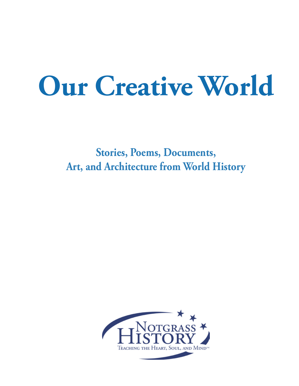## **Our Creative World**

**Stories, Poems, Documents, Art, and Architecture from World History**

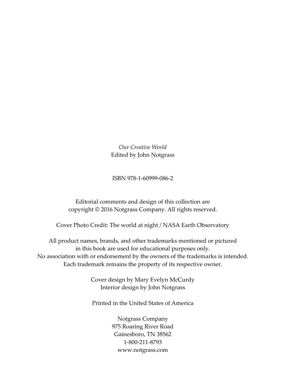*Our Creative World* Edited by John Notgrass

ISBN 978-1-60999-086-2

Editorial comments and design of this collection are copyright © 2016 Notgrass Company. All rights reserved.

Cover Photo Credit: The world at night / NASA Earth Observatory

All product names, brands, and other trademarks mentioned or pictured in this book are used for educational purposes only. No association with or endorsement by the owners of the trademarks is intended. Each trademark remains the property of its respective owner.

> Cover design by Mary Evelyn McCurdy Interior design by John Notgrass

> Printed in the United States of America

Notgrass Company 975 Roaring River Road Gainesboro, TN 38562 1-800-211-8793 www.notgrass.com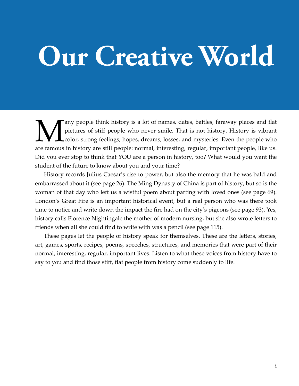## **Our Creative World**

Many people think history is a lot of names, dates, battles, faraway places and flat pictures of stiff people who never smile. That is not history. History is vibrant color, strong feelings, hopes, dreams, losses, and myst pictures of stiff people who never smile. That is not history. History is vibrant color, strong feelings, hopes, dreams, losses, and mysteries. Even the people who are famous in history are still people: normal, interesting, regular, important people, like us. Did you ever stop to think that YOU are a person in history, too? What would you want the student of the future to know about you and your time?

History records Julius Caesar's rise to power, but also the memory that he was bald and embarrassed about it (see page 26). The Ming Dynasty of China is part of history, but so is the woman of that day who left us a wistful poem about parting with loved ones (see page 69). London's Great Fire is an important historical event, but a real person who was there took time to notice and write down the impact the fire had on the city's pigeons (see page 93). Yes, history calls Florence Nightingale the mother of modern nursing, but she also wrote letters to friends when all she could find to write with was a pencil (see page 115).

These pages let the people of history speak for themselves. These are the letters, stories, art, games, sports, recipes, poems, speeches, structures, and memories that were part of their normal, interesting, regular, important lives. Listen to what these voices from history have to say to you and find those stiff, flat people from history come suddenly to life.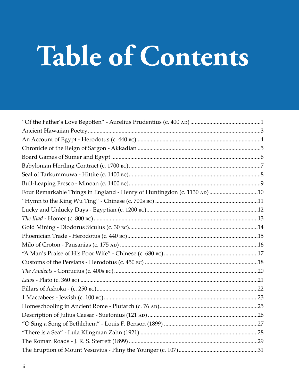# Table of Contents

| Four Remarkable Things in England - Henry of Huntingdon (c. 1130 AD) 10 |  |
|-------------------------------------------------------------------------|--|
|                                                                         |  |
|                                                                         |  |
|                                                                         |  |
|                                                                         |  |
|                                                                         |  |
|                                                                         |  |
|                                                                         |  |
|                                                                         |  |
|                                                                         |  |
|                                                                         |  |
|                                                                         |  |
|                                                                         |  |
|                                                                         |  |
|                                                                         |  |
|                                                                         |  |
|                                                                         |  |
|                                                                         |  |
|                                                                         |  |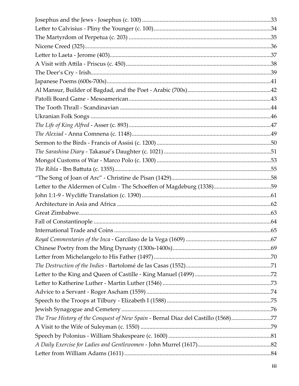| The True History of the Conquest of New Spain - Bernal Diaz del Castillo (1568)77 |  |
|-----------------------------------------------------------------------------------|--|
|                                                                                   |  |
|                                                                                   |  |
|                                                                                   |  |
|                                                                                   |  |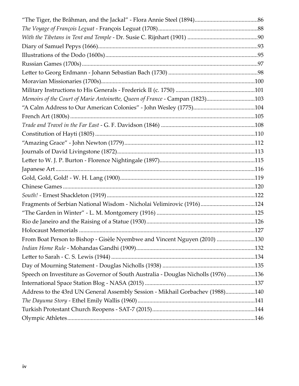| Memoirs of the Court of Marie Antoinette, Queen of France - Campan (1823)103       |  |
|------------------------------------------------------------------------------------|--|
|                                                                                    |  |
|                                                                                    |  |
|                                                                                    |  |
|                                                                                    |  |
|                                                                                    |  |
|                                                                                    |  |
|                                                                                    |  |
|                                                                                    |  |
|                                                                                    |  |
|                                                                                    |  |
|                                                                                    |  |
| Fragments of Serbian National Wisdom - Nicholai Velimirovic (1916)124              |  |
|                                                                                    |  |
|                                                                                    |  |
|                                                                                    |  |
| From Boat Person to Bishop - Gisèle Nyembwe and Vincent Nguyen (2010) 130          |  |
|                                                                                    |  |
|                                                                                    |  |
|                                                                                    |  |
| Speech on Investiture as Governor of South Australia - Douglas Nicholls (1976) 136 |  |
|                                                                                    |  |
| Address to the 43rd UN General Assembly Session - Mikhail Gorbachev (1988)140      |  |
|                                                                                    |  |
|                                                                                    |  |
|                                                                                    |  |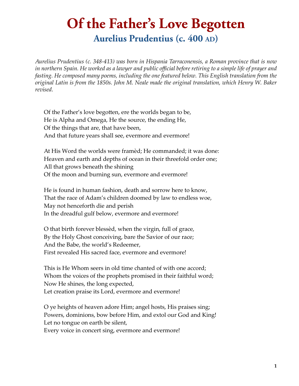### **Of the Father's Love Begotten**

Aurelius Prudentius (c. 400 AD)

*Aurelius Prudentius (c. 348-413) was born in Hispania Tarraconensis, a Roman province that is now in northern Spain. He worked as a lawyer and public official before retiring to a simple life of prayer and fasting. He composed many poems, including the one featured below. This English translation from the original Latin is from the 1850s. John M. Neale made the original translation, which Henry W. Baker revised.*

Of the Father's love begotten, ere the worlds began to be, He is Alpha and Omega, He the source, the ending He, Of the things that are, that have been, And that future years shall see, evermore and evermore!

At His Word the worlds were framèd; He commanded; it was done: Heaven and earth and depths of ocean in their threefold order one; All that grows beneath the shining Of the moon and burning sun, evermore and evermore!

He is found in human fashion, death and sorrow here to know, That the race of Adam's children doomed by law to endless woe, May not henceforth die and perish In the dreadful gulf below, evermore and evermore!

O that birth forever blessèd, when the virgin, full of grace, By the Holy Ghost conceiving, bare the Savior of our race; And the Babe, the world's Redeemer, First revealed His sacred face, evermore and evermore!

This is He Whom seers in old time chanted of with one accord; Whom the voices of the prophets promised in their faithful word; Now He shines, the long expected, Let creation praise its Lord, evermore and evermore!

O ye heights of heaven adore Him; angel hosts, His praises sing; Powers, dominions, bow before Him, and extol our God and King! Let no tongue on earth be silent,

Every voice in concert sing, evermore and evermore!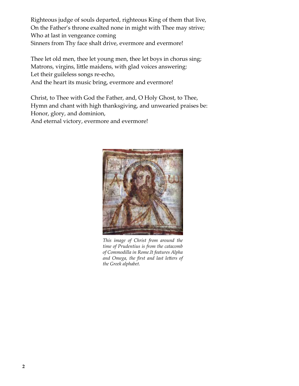Righteous judge of souls departed, righteous King of them that live, On the Father's throne exalted none in might with Thee may strive; Who at last in vengeance coming Sinners from Thy face shalt drive, evermore and evermore!

Thee let old men, thee let young men, thee let boys in chorus sing; Matrons, virgins, little maidens, with glad voices answering: Let their guileless songs re-echo, And the heart its music bring, evermore and evermore!

Christ, to Thee with God the Father, and, O Holy Ghost, to Thee, Hymn and chant with high thanksgiving, and unwearied praises be: Honor, glory, and dominion,

And eternal victory, evermore and evermore!



*This image of Christ from around the time of Prudentius is from the catacomb of Commodilla in Rome.It features Alpha and Omega, the first and last letters of the Greek alphabet.*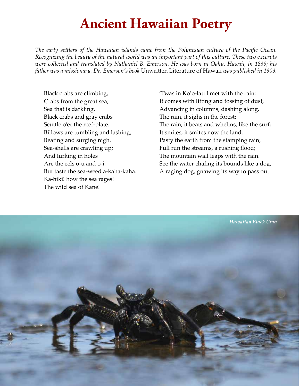### **Ancient Hawaiian Poetry**

*The early settlers of the Hawaiian islands came from the Polynesian culture of the Pacific Ocean. Recognizing the beauty of the natural world was an important part of this culture. These two excerpts were collected and translated by Nathaniel B. Emerson. He was born in Oahu, Hawaii, in 1839; his father was a missionary. Dr. Emerson's book* Unwritten Literature of Hawaii *was published in 1909.*

Black crabs are climbing, Crabs from the great sea, Sea that is darkling. Black crabs and gray crabs Scuttle o'er the reef-plate. Billows are tumbling and lashing, Beating and surging nigh. Sea-shells are crawling up; And lurking in holes Are the eels o-u and o-i. But taste the sea-weed a-kaha-kaha. Ka-hiki! how the sea rages! The wild sea of Kane!

'Twas in Ko'o-lau I met with the rain: It comes with lifting and tossing of dust, Advancing in columns, dashing along. The rain, it sighs in the forest; The rain, it beats and whelms, like the surf; It smites, it smites now the land. Pasty the earth from the stamping rain; Full run the streams, a rushing flood; The mountain wall leaps with the rain. See the water chafing its bounds like a dog, A raging dog, gnawing its way to pass out.

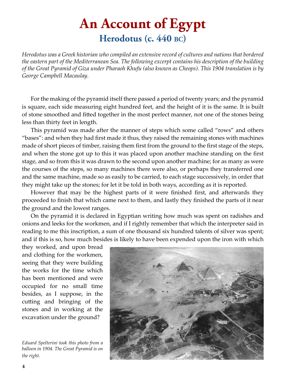### **An Account of Egypt Herodotus (c. 440 bc)**

*Herodotus was a Greek historian who compiled an extensive record of cultures and nations that bordered the eastern part of the Mediterranean Sea. The following excerpt contains his description of the building of the Great Pyramid of Giza under Pharaoh Khufu (also known as Cheops). This 1904 translation is by George Campbell Macaulay.*

For the making of the pyramid itself there passed a period of twenty years; and the pyramid is square, each side measuring eight hundred feet, and the height of it is the same. It is built of stone smoothed and fitted together in the most perfect manner, not one of the stones being less than thirty feet in length.

This pyramid was made after the manner of steps which some called "rows" and others "bases": and when they had first made it thus, they raised the remaining stones with machines made of short pieces of timber, raising them first from the ground to the first stage of the steps, and when the stone got up to this it was placed upon another machine standing on the first stage, and so from this it was drawn to the second upon another machine; for as many as were the courses of the steps, so many machines there were also, or perhaps they transferred one and the same machine, made so as easily to be carried, to each stage successively, in order that they might take up the stones; for let it be told in both ways, according as it is reported.

However that may be the highest parts of it were finished first, and afterwards they proceeded to finish that which came next to them, and lastly they finished the parts of it near the ground and the lowest ranges.

On the pyramid it is declared in Egyptian writing how much was spent on radishes and onions and leeks for the workmen, and if I rightly remember that which the interpreter said in reading to me this inscription, a sum of one thousand six hundred talents of silver was spent; and if this is so, how much besides is likely to have been expended upon the iron with which

they worked, and upon bread and clothing for the workmen, seeing that they were building the works for the time which has been mentioned and were occupied for no small time besides, as I suppose, in the cutting and bringing of the stones and in working at the excavation under the ground?

*Eduard Spelterini took this photo from a balloon in 1904. The Great Pyramid is on the right.*

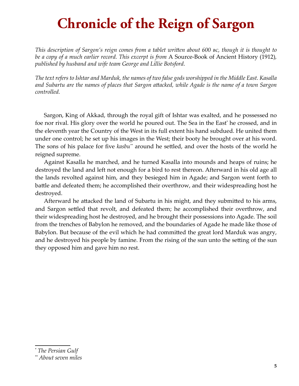### **Chronicle of the Reign of Sargon**

*This description of Sargon's reign comes from a tablet written about 600 bc, though it is thought to be a copy of a much earlier record. This excerpt is from* A Source-Book of Ancient History (1912)*, published by husband and wife team George and Lillie Botsford.*

*The text refers to Ishtar and Marduk, the names of two false gods worshipped in the Middle East. Kasalla and Subartu are the names of places that Sargon attacked, while Agade is the name of a town Sargon controlled.*

Sargon, King of Akkad, through the royal gift of Ishtar was exalted, and he possessed no foe nor rival. His glory over the world he poured out. The Sea in the East<sup>\*</sup> he crossed, and in the eleventh year the Country of the West in its full extent his hand subdued. He united them under one control; he set up his images in the West; their booty he brought over at his word. The sons of his palace for five *kasbu\*\** around he settled, and over the hosts of the world he reigned supreme.

Against Kasalla he marched, and he turned Kasalla into mounds and heaps of ruins; he destroyed the land and left not enough for a bird to rest thereon. Afterward in his old age all the lands revolted against him, and they besieged him in Agade; and Sargon went forth to battle and defeated them; he accomplished their overthrow, and their widespreading host he destroyed.

Afterward he attacked the land of Subartu in his might, and they submitted to his arms, and Sargon settled that revolt, and defeated them; he accomplished their overthrow, and their widespreading host he destroyed, and he brought their possessions into Agade. The soil from the trenches of Babylon he removed, and the boundaries of Agade he made like those of Babylon. But because of the evil which he had committed the great lord Marduk was angry, and he destroyed his people by famine. From the rising of the sun unto the setting of the sun they opposed him and gave him no rest.

<sup>\*</sup> *The Persian Gulf*

<sup>\*\*</sup>*About seven miles*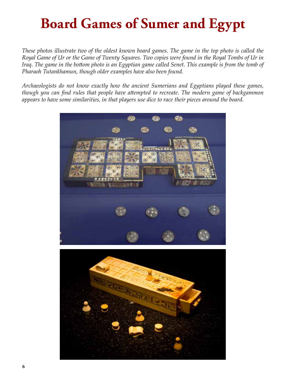## **Board Games of Sumer and Egypt**

*These photos illustrate two of the oldest known board games. The game in the top photo is called the Royal Game of Ur or the Game of Twenty Squares. Two copies were found in the Royal Tombs of Ur in Iraq. The game in the bottom photo is an Egyptian game called Senet. This example is from the tomb of Pharaoh Tutankhamun, though older examples have also been found.*

*Archaeologists do not know exactly how the ancient Sumerians and Egyptians played these games, though you can find rules that people have attempted to recreate. The modern game of backgammon appears to have some similarities, in that players use dice to race their pieces around the board.*

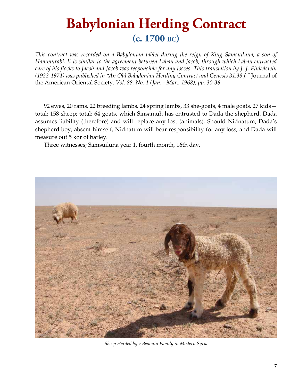### **Babylonian Herding Contract (c. 1700 bc)**

*This contract was recorded on a Babylonian tablet during the reign of King Samsuiluna, a son of Hammurabi. It is similar to the agreement between Laban and Jacob, through which Laban entrusted care of his flocks to Jacob and Jacob was responsible for any losses. This translation by J. J. Finkelstein (1922-1974) was published in "An Old Babylonian Herding Contract and Genesis 31:38 f,"* Journal of the American Oriental Society*, Vol. 88, No. 1 (Jan. - Mar., 1968), pp. 30-36.*

92 ewes, 20 rams, 22 breeding lambs, 24 spring lambs, 33 she-goats, 4 male goats, 27 kids total: 158 sheep; total: 64 goats, which Sinsamuh has entrusted to Dada the shepherd. Dada assumes liability (therefore) and will replace any lost (animals). Should Nidnatum, Dada's shepherd boy, absent himself, Nidnatum will bear responsibility for any loss, and Dada will measure out 5 kor of barley.

Three witnesses; Samsuiluna year 1, fourth month, 16th day.



*Sheep Herded by a Bedouin Family in Modern Syria*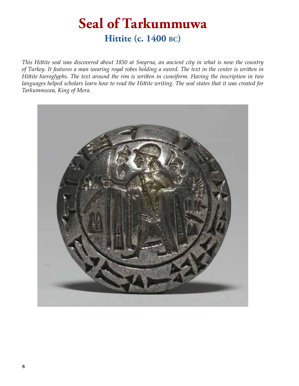### **Seal of Tarkummuwa Hittite (c. 1400 bc)**

*This Hittite seal was discovered about 1850 at Smyrna, an ancient city in what is now the country of Turkey. It features a man wearing royal robes holding a sword. The text in the center is written in Hittite hieroglyphs. The text around the rim is written in cuneiform. Having the inscription in two languages helped scholars learn how to read the Hittite writing. The seal states that it was created for Tarkummuwa, King of Mera.*

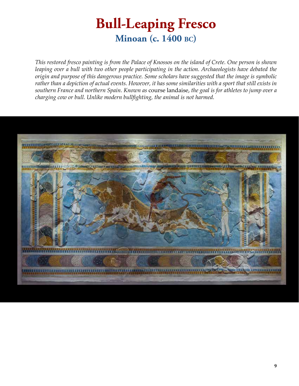### **Bull-Leaping Fresco Minoan (c. 1400 bc)**

*This restored fresco painting is from the Palace of Knossos on the island of Crete. One person is shown leaping over a bull with two other people participating in the action. Archaeologists have debated the origin and purpose of this dangerous practice. Some scholars have suggested that the image is symbolic rather than a depiction of actual events. However, it has some similarities with a sport that still exists in southern France and northern Spain. Known as* course landaise, *the goal is for athletes to jump over a charging cow or bull. Unlike modern bullfighting, the animal is not harmed.*

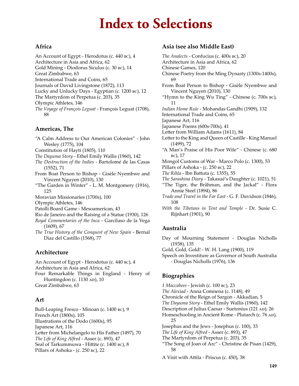### **Index to Selections**

#### **Africa**

- An Account of Egypt Herodotus (c. 440 bc), 4 Architecture in Asia and Africa, 62 Gold Mining - Diodorus Siculus (c. 30 bc), 14 Great Zimbabwe, 63
- International Trade and Coins, 65
- Journals of David Livingstone (1872), 113
- Lucky and Unlucky Days Egyptian (c. 1200 bc), 12
- The Martyrdom of Perpetua (c. 203), 35
- Olympic Athletes, 146
- *The Voyage of François Leguat* François Leguat (1708), 88

#### **Americas, The**

"A Calm Address to Our American Colonies" - John Wesley (1775), 104 Constitution of Hayti (1805), 110 *The Dayuma Story* - Ethel Emily Wallis (1960), 142 *The Destruction of the Indies* - Bartolomé de las Casas (1552), 71 From Boat Person to Bishop - Gisèle Nyembwe and Vincent Nguyen (2010), 130 "The Garden in Winter" - L. M. Montgomery (1916), 125 Moravian Missionaries (1700s), 100 Olympic Athletes, 146 Patolli Board Game - Mesoamerican, 43 Rio de Janeiro and the Raising of a Statue (1930), 126 *Royal Commentaries of the Inca* - Garcilaso de la Vega

(1609), 67

*The True History of the Conquest of New Spain* - Bernal Diaz del Castillo (1568), 77

#### **Architecture**

An Account of Egypt - Herodotus (c. 440 bc), 4 Architecture in Asia and Africa, 62 Four Remarkable Things in England - Henry of Huntingdon (c.  $1130$  AD),  $10$ 

Great Zimbabwe, 63

#### **Art**

Bull-Leaping Fresco - Minoan (c. 1400 bc), 9 French Art (1800s), 105 Illustrations of the Dodo (1600s), 95 Japanese Art, 116 Letter from Michelangelo to His Father (1497), 70 *The Life of King Alfred* - Asser (c. 893), 47 Seal of Tarkummuwa - Hittite (c. 1400 bc), 8 Pillars of Ashoka - (c. 250 bc), 22

#### **Asia (see also Middle East)**

*The Analects* - Confucius (c. 400s bc), 20 Architecture in Asia and Africa, 62 Chinese Games, 120 Chinese Poetry from the Ming Dynasty (1300s-1400s), 69 From Boat Person to Bishop - Gisèle Nyembwe and Vincent Nguyen (2010), 130 "Hymn to the King Wu Ting" - Chinese (c. 700s bc), 11 *Indian Home Rule* - Mohandas Gandhi (1909), 132 International Trade and Coins, 65 Japanese Art, 116 Japanese Poems (600s-700s), 41 Letter from William Adams (1611), 84 Letter to the King and Queen of Castille - King Manuel (1499), 72 "A Man's Praise of His Poor Wife" - Chinese (c. 680 bc), 17 Mongol Customs of War - Marco Polo (c. 1300), 53 Pillars of Ashoka - (c. 250 bc), 22 *The Rihla* - Ibn Battuta (c. 1355), 55 *The Sarashina Diary* - Takasué's Daughter (c. 1021), 51 "The Tiger, the Brâhman, and the Jackal" - Flora Annie Steel (1894), 86 *Trade and Travel in the Far East* - G. F. Davidson (1846), 108 *With the Tibetans in Tent and Temple* - Dr. Susie C.

#### **Australia**

Rijnhart (1901), 90

Day of Mourning Statement - Douglas Nicholls (1938), 135

- Gold, Gold, Gold! W. H. Lang (1900), 119
- Speech on Investiture as Governor of South Australia - Douglas Nicholls (1976), 136

#### **Biographies**

- *1 Maccabees* Jewish (c. 100 bc), 23
- *The Alexiad* Anna Comnena (c. 1148), 49
- Chronicle of the Reign of Sargon Akkadian, 5
- *The Dayuma Story* Ethel Emily Wallis (1960), 142
- Description of Julius Caesar Suetonius (121 AD), 26
- Homeschooling in Ancient Rome Plutarch (c. 76 AD), 25

Josephus and the Jews - Josephus (c. 100), 33

- *The Life of King Alfred* Asser (c. 893), 47
- The Martyrdom of Perpetua (c. 203), 35
- "The Song of Joan of Arc" Christine de Pisan (1429), 58

A Visit with Attila - Priscus (c. 450), 38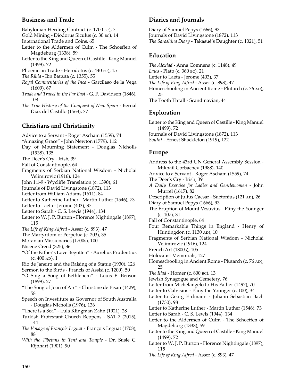#### **Business and Trade**

- Babylonian Herding Contract (c. 1700 bc), 7
- Gold Mining Diodorus Siculus (c. 30 bc), 14
- International Trade and Coins, 65
- Letter to the Aldermen of Culm The Schoeffen of Magdeburg (1338), 59
- Letter to the King and Queen of Castille King Manuel (1499), 72
- Phoenician Trade Herodotus (c. 440 bc), 15
- *The Rihla* Ibn Battuta (c. 1355), 55
- *Royal Commentaries of the Inca* Garcilaso de la Vega (1609), 67
- *Trade and Travel in the Far East* G. F. Davidson (1846), 108
- *The True History of the Conquest of New Spain* Bernal Diaz del Castillo (1568), 77

#### **Christians and Christianity**

- Advice to a Servant Roger Ascham (1559), 74
- "Amazing Grace" John Newton (1779), 112
- Day of Mourning Statement Douglas Nicholls (1938), 135
- The Deer's Cry Irish, 39
- Fall of Constantinople, 64
- Fragments of Serbian National Wisdom Nicholai Velimirovic (1916), 124
- John 1:1-9 Wycliffe Translation (c. 1390), 61
- Journals of David Livingstone (1872), 113
- Letter from William Adams (1611), 84
- Letter to Katherine Luther Martin Luther (1546), 73
- Letter to Laeta Jerome (403), 37
- Letter to Sarah C. S. Lewis (1944), 134
- Letter to W. J. P. Burton Florence Nightingale (1897), 115
- *The Life of King Alfred* Asser (c. 893), 47
- The Martyrdom of Perpetua (c. 203), 35
- Moravian Missionaries (1700s), 100
- Nicene Creed (325), 36
- "Of the Father's Love Begotten" Aurelius Prudentius  $(c. 400 \text{ AD})$ , 1
- Rio de Janeiro and the Raising of a Statue (1930), 126
- Sermon to the Birds Francis of Assisi (c. 1200), 50
- "O Sing a Song of Bethlehem" Louis F. Benson (1899), 27
- "The Song of Joan of Arc" Christine de Pisan (1429), 58
- Speech on Investiture as Governor of South Australia - Douglas Nicholls (1976), 136
- "There is a Sea" Lula Klingman Zahn (1921), 28
- Turkish Protestant Church Reopens SAT-7 (2015), 144
- *The Voyage of François Leguat* François Leguat (1708), 88
- *With the Tibetans in Tent and Temple* Dr. Susie C. Rijnhart (1901), 90

#### **Diaries and Journals**

Diary of Samuel Pepys (1666), 93 Journals of David Livingstone (1872), 113 *The Sarashina Diary* - Takasué's Daughter (c. 1021), 51

#### **Education**

*The Alexiad* - Anna Comnena (c. 1148), 49 *Laws* - Plato (c. 360 bc), 21 Letter to Laeta - Jerome (403), 37 *The Life of King Alfred* - Asser (c. 893), 47 Homeschooling in Ancient Rome - Plutarch (c. 76 AD), 25 The Tooth Thrall - Scandinavian, 44

#### **Exploration**

Letter to the King and Queen of Castille - King Manuel (1499), 72 Journals of David Livingstone (1872), 113 *South!* - Ernest Shackleton (1919), 122

#### **Europe**

Address to the 43rd UN General Assembly Session - Mikhail Gorbachev (1988), 140 Advice to a Servant - Roger Ascham (1559), 74 The Deer's Cry - Irish, 39 *A Daily Exercise for Ladies and Gentlewomen* - John Murrel (1617), 82 Description of Julius Caesar - Suetonius (121 AD), 26 Diary of Samuel Pepys (1666), 93 The Eruption of Mount Vesuvius - Pliny the Younger (c. 107), 31 Fall of Constantinople, 64 Four Remarkable Things in England - Henry of Huntingdon (c.  $1130$  AD),  $10$ Fragments of Serbian National Wisdom - Nicholai Velimirovic (1916), 124 French Art (1800s), 105 Holocaust Memorials, 127 Homeschooling in Ancient Rome - Plutarch (c. 76 AD), 25 *The Iliad* - Homer (c. 800 bc), 13 Jewish Synagogue and Cemetery, 76 Letter from Michelangelo to His Father (1497), 70 Letter to Calvisius - Pliny the Younger (c. 100), 34 Letter to Georg Erdmann - Johann Sebastian Bach (1730), 98 Letter to Katherine Luther - Martin Luther (1546), 73 Letter to Sarah - C. S. Lewis (1944), 134 Letter to the Aldermen of Culm - The Schoeffen of Magdeburg (1338), 59

- Letter to the King and Queen of Castille King Manuel (1499), 72
- Letter to W. J. P. Burton Florence Nightingale (1897), 115
- *The Life of King Alfred* Asser (c. 893), 47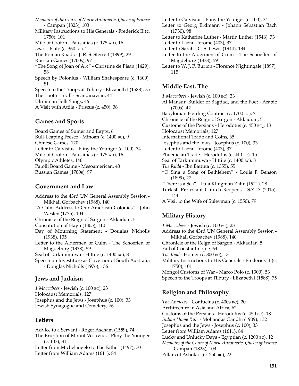*Memoirs of the Court of Marie Antoinette, Queen of France* - Campan (1823), 103 Military Instructions to His Generals - Frederick II (c. 1750), 101 Milo of Croton - Pausanias (c. 175 AD), 16 *Laws* - Plato (c. 360 bc), 21 The Roman Roads - J. R. S. Sterrett (1899), 29 Russian Games (1700s), 97 "The Song of Joan of Arc" - Christine de Pisan (1429), 58 Speech by Polonius - William Shakespeare (c. 1600), 81 Speech to the Troops at Tilbury - Elizabeth I (1588), 75 The Tooth Thrall - Scandinavian, 44 Ukrainian Folk Songs, 46 A Visit with Attila - Priscus (c. 450), 38

#### **Games and Sports**

Board Games of Sumer and Egypt, 6 Bull-Leaping Fresco - Minoan (c. 1400 bc), 9 Chinese Games, 120 Letter to Calvisius - Pliny the Younger (c. 100), 34 Milo of Croton - Pausanias (c. 175 AD), 16 Olympic Athletes, 146 Patolli Board Game - Mesoamerican, 43 Russian Games (1700s), 97

#### **Government and Law**

Address to the 43rd UN General Assembly Session - Mikhail Gorbachev (1988), 140 "A Calm Address to Our American Colonies" - John Wesley (1775), 104 Chronicle of the Reign of Sargon - Akkadian, 5 Constitution of Hayti (1805), 110 Day of Mourning Statement - Douglas Nicholls (1938), 135 Letter to the Aldermen of Culm - The Schoeffen of Magdeburg (1338), 59 Seal of Tarkummuwa - Hittite (c. 1400 bc), 8 Speech on Investiture as Governor of South Australia - Douglas Nicholls (1976), 136 **Jews and Judaism**

*1 Maccabees* - Jewish (c. 100 bc), 23 Holocaust Memorials, 127 Josephus and the Jews - Josephus (c. 100), 33 Jewish Synagogue and Cemetery, 76

#### **Letters**

Advice to a Servant - Roger Ascham (1559), 74 The Eruption of Mount Vesuvius - Pliny the Younger (c. 107), 31 Letter from Michelangelo to His Father (1497), 70 Letter from William Adams (1611), 84

Letter to Calvisius - Pliny the Younger (c. 100), 34

- Letter to Georg Erdmann Johann Sebastian Bach (1730), 98
- Letter to Katherine Luther Martin Luther (1546), 73
- Letter to Laeta Jerome (403), 37
- Letter to Sarah C. S. Lewis (1944), 134
- Letter to the Aldermen of Culm The Schoeffen of Magdeburg (1338), 59
- Letter to W. J. P. Burton Florence Nightingale (1897), 115

#### **Middle East, The**

*1 Maccabees* - Jewish (c. 100 bc), 23 Al Mansur, Builder of Bagdad, and the Poet - Arabic (700s), 42 Babylonian Herding Contract (c. 1700 bc), 7 Chronicle of the Reign of Sargon - Akkadian, 5 Customs of the Persians - Herodotus (c. 450 bc), 18 Holocaust Memorials, 127 International Trade and Coins, 65 Josephus and the Jews - Josephus (c. 100), 33 Letter to Laeta - Jerome (403), 37 Phoenician Trade - Herodotus (c. 440 bc), 15 Seal of Tarkummuwa - Hittite (c. 1400 bc), 8 *The Rihla* - Ibn Battuta (c. 1355), 55 "O Sing a Song of Bethlehem" - Louis F. Benson (1899), 27 "There is a Sea" - Lula Klingman Zahn (1921), 28 Turkish Protestant Church Reopens - SAT-7 (2015), 144 A Visit to the Wife of Suleyman (c. 1550), 79

#### **Military History**

*1 Maccabees* - Jewish (c. 100 bc), 23 Address to the 43rd UN General Assembly Session - Mikhail Gorbachev (1988), 140 Chronicle of the Reign of Sargon - Akkadian, 5 Fall of Constantinople, 64 *The Iliad* - Homer (c. 800 bc), 13 Military Instructions to His Generals - Frederick II (c. 1750), 101 Mongol Customs of War - Marco Polo (c. 1300), 53 Speech to the Troops at Tilbury - Elizabeth I (1588), 75

#### **Religion and Philosophy**

*The Analects* - Confucius (c. 400s bc), 20 Architecture in Asia and Africa, 62 Customs of the Persians - Herodotus (c. 450 bc), 18 *Indian Home Rule* - Mohandas Gandhi (1909), 132 Josephus and the Jews - Josephus (c. 100), 33 Letter from William Adams (1611), 84 Lucky and Unlucky Days - Egyptian (c. 1200 bc), 12 *Memoirs of the Court of Marie Antoinette, Queen of France* - Campan (1823), 103 Pillars of Ashoka - (c. 250 bc), 22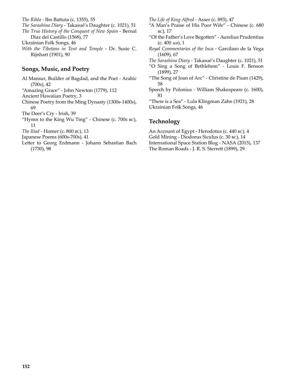*The Rihla* - Ibn Battuta (c. 1355), 55

- *The Sarashina Diary* Takasué's Daughter (c. 1021), 51
- *The True History of the Conquest of New Spain* Bernal Diaz del Castillo (1568), 77

Ukrainian Folk Songs, 46

*With the Tibetans in Tent and Temple* - Dr. Susie C. Rijnhart (1901), 90

#### **Songs, Music, and Poetry**

Al Mansur, Builder of Bagdad, and the Poet - Arabic (700s), 42 "Amazing Grace" - John Newton (1779), 112 Ancient Hawaiian Poetry, 3 Chinese Poetry from the Ming Dynasty (1300s-1400s), 69 The Deer's Cry - Irish, 39 "Hymn to the King Wu Ting" - Chinese (c. 700s bc), 11 *The Iliad* - Homer (c. 800 bc), 13

Japanese Poems (600s-700s), 41

Letter to Georg Erdmann - Johann Sebastian Bach (1730), 98

*The Life of King Alfred* - Asser (c. 893), 47

- "A Man's Praise of His Poor Wife" Chinese (c. 680 bc), 17
- "Of the Father's Love Begotten" Aurelius Prudentius  $(c. 400 \text{ AD})$ , 1
- *Royal Commentaries of the Inca* Garcilaso de la Vega (1609), 67
- *The Sarashina Diary* Takasué's Daughter (c. 1021), 51
- "O Sing a Song of Bethlehem" Louis F. Benson (1899), 27
- "The Song of Joan of Arc" Christine de Pisan (1429), 58
- Speech by Polonius William Shakespeare (c. 1600), 81

"There is a Sea" - Lula Klingman Zahn (1921), 28 Ukrainian Folk Songs, 46

#### **Technology**

An Account of Egypt - Herodotus (c. 440 bc), 4 Gold Mining - Diodorus Siculus (c. 30 bc), 14 International Space Station Blog - NASA (2015), 137 The Roman Roads - J. R. S. Sterrett (1899), 29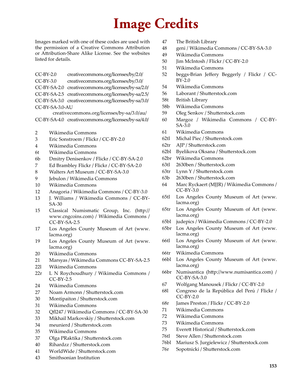### **Image Credits**

Images marked with one of these codes are used with the permission of a Creative Commons Attribution or Attribution-Share Alike License. See the websites listed for details.

- CC-BY-2.0 creativecommons.org/licenses/by/2.0/ CC-BY-3.0 creativecommons.org/licenses/by/3.0/ CC-BY-SA-2.0 creativecommons.org/licenses/by-sa/2.0/ CC-BY-SA-2.5 creativecommons.org/licenses/by-sa/2.5/
- CC-BY-SA-3.0 creativecommons.org/licenses/by-sa/3.0/
- CC-BY-SA-3.0-AU

creativecommons.org/licenses/by-sa/3.0/au/

- CC-BY-SA-4.0 creativecommons.org/licenses/by-sa/4.0/
- 2 Wikimedia Commons
- 3 Eric Sonstroem / Flickr / CC-BY-2.0
- 4 Wikimedia Commons
- 6t Wikimedia Commons
- 6b Dmitry Denisenkov / Flickr / CC-BY-SA-2.0
- 7 Ed Brambley Flickr / Flickr / CC-BY-SA-2.0
- 8 Walters Art Museum / CC-BY-SA-3.0
- 9 Jebulon / Wikimedia Commons
- 10 Wikimedia Commons
- 12 Anagoria / Wikimedia Commons / CC-BY-3.0
- 13 J. Williams / Wikimedia Commons / CC-BY-SA-30
- 15 Classical Numismatic Group, Inc. (http:// www.cngcoins.com) / Wikimedia Commons / CC-BY-SA-2.5
- 17 Los Angeles County Museum of Art (www. lacma.org)
- 19 Los Angeles County Museum of Art (www. lacma.org)
- 20 Wikimedia Commons
- 21 Marsyas / Wikimedia Commons CC-BY-SA-2.5
- 22l Wikimedia Commons
- 22r L N Roychoudhury / Wikimedia Commons / CC-BY-2.5
- 24 Wikimedia Commons
- 27 Noam Armonn / Shutterstock.com
- 30 Montipaiton / Shutterstock.com
- 31 Wikimedia Commons
- 32 Qfl247 / Wikimedia Commons / CC-BY-SA-30
- 33 Mikhail Markovskiy / Shutterstock.com
- 34 meunierd / Shutterstock.com
- 35 Wikimedia Commons
- 37 Olga PRaktika / Shutterstock.com
- 40 Rihardzz / Shutterstock.com
- 41 WorldWide / Shutterstock.com
- 43 Smithsonian Institution
- 47 The British Library
- 48 geni / Wikimedia Commons / CC-BY-SA-3.0
- 49 Wikimedia Commons
- 50 **Jim McIntosh / Flickr / CC-BY-2.0**
- 51 Wikimedia Commons
- 52 beggs-Brian Jeffery Beggerly / Flickr / CC-BY-2.0
- 54 Wikimedia Commons
- 56 Laborant / Shutterstock.com
- 58t British Library
- 58b Wikimedia Commons
- 59 Oleg Senkov / Shutterstock.com
- 60 Margoz / Wikimedia Commons / CC-BY-SA-3.0
- 61 Wikimedia Commons
- 62tl Michal Piec / Shutterstock.com
- 62tr AJP / Shutterstock.com
- 62bl Byelikova Oksana / Shutterstock.com
- 62br Wikimedia Commons
- 63tl 2630ben / Shutterstock.com
- 63tr Lynn Y / Shutterstock.com
- 63b 2630ben / Shutterstock.com
- 64 Marc Ryckaert (MJJR) / Wikimedia Commons / CC-BY-3.0
- 65tl Los Angeles County Museum of Art (www. lacma.org)
- 65tr Los Angeles County Museum of Art (www. lacma.org)
- 65bl judepics / Wikimedia Commons / CC-BY-2.0
- 65br Los Angeles County Museum of Art (www. lacma.org)
- 66tl Los Angeles County Museum of Art (www. lacma.org)
- 66tr Wikimedia Commons
- 66bl Los Angeles County Museum of Art (www. lacma.org)
- 66br Numisantica (http://www.numisantica.com) / CC-BY-SA-3.0
- 67 Wolfgang Manousek / Flickr / CC-BY-2.0
- 68l Congreso de la República del Perú / Flickr / CC-BY-2.0
- 68r James Preston / Flickr / CC-BY-2.0
- 71 Wikimedia Commons
- 72 Wikimedia Commons
- 73 Wikimedia Commons
- 75 Everett Historical / Shutterstock.com
- 76tl Steve Allen / Shutterstock.com
- 76bl Mariusz S. Jurgielewicz / Shutterstock.com
- 76r Sopotnicki / Shutterstock.com